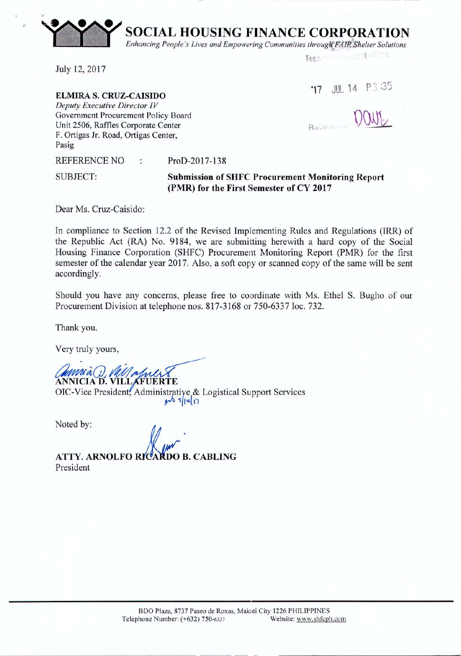**SOCIAL HOUSING FINANCE CORPORATION**

 $E$ nhancing *People's Lives and Empowering Communities through FAIR Shelter Solutions* 

July 12,2017

~-

**·n** JUL <sup>14</sup> P3 :35

Tech

shirt (19108)

**ELMIRA S. CRUZ-CAISIDO** *Deputy Executive Director IV* Government Procurement Policy Board Unit 2506, Raffles Corporate Center F. Ortigas Jr. Road, Ortigas Center, Pasig

Receive

REFERENCE NO : ProD-2017-138

SUBJECT:

**Submission of SHFC Procurement Monitoring Report (PMR) for the First Semester of CY 2017**

Dear Ms. Cruz-Caisido:

In compliance to Section 12.2 of the Revised Implementing Rules and Regulations (IRR) of the Republic Act (RA) No. 9184, we are submitting herewith a hard copy of the Social Housing Finance Corporation (SHFC) Procurement Monitoring Report (PMR) for the first semester of the calendar year 2017. Also, a soft copy or scanned copy of the same will be sent accordingly.

Should you have any concerns, please free to coordinate with Ms. Ethel S. Bugho of our Procurement Division at telephone nos. 817-3168 or 750-6337 loc. 732.

Thank you.

Very truly yours,

**ANNICIA D. VILL KFUERTE** 

OIC-Vice President, Administratiye & Logistical Support Services  $y$ <sup>b</sup> $1|u|$  $n$ 

Noted by:

ATTY. ARNOLFO RICARDO B. CABLING President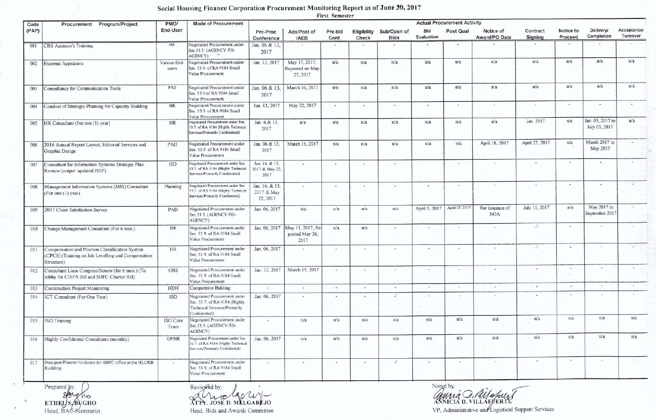## Social Housing Finance Corporation Procurement Monitoring Report as of June 30, 2017

First Semester

| Code           | Procurement Program/Project                                                                                         | PMO/                  | <b>Mode of Procurement</b>                                                                                                                         | TIPOL CANADIANI<br><b>Actual Procurement Activity</b> |                                                           |                          |                      |                            |                          |                          |                               |                     |                      |                                   |                         |
|----------------|---------------------------------------------------------------------------------------------------------------------|-----------------------|----------------------------------------------------------------------------------------------------------------------------------------------------|-------------------------------------------------------|-----------------------------------------------------------|--------------------------|----------------------|----------------------------|--------------------------|--------------------------|-------------------------------|---------------------|----------------------|-----------------------------------|-------------------------|
| (PAP)          |                                                                                                                     | End-User              |                                                                                                                                                    | Pre-Proc<br>Conference                                | Ads/Post of<br><b>IAEB</b>                                | Pre-bid<br>Conf.         | Eligibility<br>Check | Sub/Open of<br><b>Bids</b> | Bid<br>Evaluation        | Post Qual                | Notice of<br>Award/PO Date    | Contract<br>Signing | Notice to<br>Proceed | <b>Delivery/</b><br>Completion    | Acceptancel<br>Turnover |
| 001            | CBS Assessor's Training                                                                                             | <b>HR</b>             | Negotiated Procurement under<br>Sec.53.5. (AGENCY-TO-<br>AGENCY)                                                                                   | Jan. 06 & 13.<br>2017                                 | $\sim$                                                    | $\sim$                   | $\sim$               | $\overline{\phantom{a}}$   | ٠                        | $\bullet$                |                               | $\sim$              | $\sim$               |                                   |                         |
| 002            | <b>External Appraisers</b>                                                                                          | Various End<br>users. | Negotiated Procurement under<br>Sec. 53.9. of RA 9184 Small<br>Value Procurement                                                                   | Jan. 13, 2017                                         | May 17, 2017;<br>Reposted on May<br>27, 2017              | n/a                      | n/a                  | n/a                        | n/a                      | n/a                      | n/a                           | n/a                 | n/a                  | n/a                               | n/a                     |
| 003            | <b>Consultancy for Communication Tools</b>                                                                          | PAD                   | Negotiated Procurement under<br>Sec. 53.9 of RA 9184 Small<br>Value Procurement                                                                    | Jan. 06 & 13,<br>2017                                 | March 16, 2017                                            | n/a                      | n/a                  | n/a                        | n/a                      | n/a                      | n/a                           | n/a                 | n/a                  | n/a                               | n/a                     |
| 004            | Conduct of Strategic Planning for Capacity Building                                                                 | HR                    | Negotiated Procurement under<br>Sec. 53.9 of RA 9184 Small<br>Value Procurement                                                                    | Jan. 13, 2017                                         | May 22, 2017                                              |                          | 140                  | $\sim$                     | ٠                        |                          | ×                             |                     | $\mathbf{a}_1$       |                                   |                         |
| 005            | HR Consultant (For one (1) year)                                                                                    | <b>HR</b>             | Negotiated Procurement under Sec.<br>53.7. of RA 9184 (Highly Technical<br>Services/Primarily Confidential)                                        | Jan. 6 & 13,<br>2017                                  | n/a                                                       | n/a                      | n/a                  | n/a                        | n/a                      | n/a                      | n/a                           | Jan. 2017           | n/a                  | Jan. 03, 2017 to<br>July 03, 2017 | n/a                     |
| 006            | 2016 Annual Report Layout, Editorial Services and<br>Graphic Design                                                 | PAD                   | Negotiated Procurement under<br>Sec. 53.9. of RA 9184 Small<br>Value Procurement                                                                   | Jan. 06 & 13,<br>2017                                 | March 16, 2017                                            | n/a                      | n/a                  | n/a                        | n/a                      | n/a                      | April 18, 2017                | April 27, 2017      | n/a                  | March 2017 to<br>May 2017         |                         |
| 007            | Consultant for Information Systems Strategic Plan<br>Review (output: updated ISSP)                                  | <b>ISD</b>            | Negotiated Procurement under Sec.<br>53.7 of RA 9184 (Highly Technical<br>Services/Primarily Confidential)                                         | Jan. 16, & 13.<br>2017 & May 22.<br>2017              |                                                           | ٠                        |                      | $\overline{\phantom{a}}$   |                          | $\overline{\phantom{a}}$ |                               | $\ddot{}$           |                      | $\sim$                            |                         |
| 008            | Management Information Systems (MIS) Consultant<br>(For one (1) year)                                               | Planning              | Negotiated Procurement under Sec.<br>53.7 of RA 9184 (Highly Technical<br>Services/Primarily Confidential)                                         | Jan. 16, & 13,<br>2017 & May<br>22, 2017              |                                                           | $\overline{\phantom{a}}$ |                      |                            | $\overline{\phantom{a}}$ | $\sim$                   | ٠                             |                     | œ.                   | $\sim$                            |                         |
| 009            | 2017 Client Satisfaction Survey                                                                                     | PAD                   | Negotiated Procurement under<br>Sec. 53.5. (AGENCY-TO-<br>AGENCY)                                                                                  | Jan. 06, 2017                                         | n/a                                                       | n/a                      | n/a                  | n/a                        | April 5, 2017            | April 27, 2017           | For issuance of<br><b>NOA</b> | July 11, 2017       | n/a                  | May 2017 to<br>September 2017     |                         |
| 010            | Change Management Consultant (For 6 mos.)                                                                           | <b>HR</b>             | Negotiated Procurement under<br>Sec. 53 9. of RA 9184 Small<br>Value Procurement                                                                   |                                                       | Jan. 06, 2017 May 11, 2017; Re-<br>posted May 26,<br>2017 | n/a                      | n/a                  | $\sim$                     | $\sim$                   | ÷                        | $\overline{\phantom{a}}$      | J.                  | $\sim$               | $\sim$                            |                         |
| 011            | Compensation and Position Classification System<br>(CPCS) (Training on Job Levelling and Compensation<br>Structure) | <b>HR</b>             | Negotiated Procurement under<br>Sec. 53.9. of RA 9184 Small<br>Value Procurement                                                                   | Jan. 06, 2017                                         |                                                           | $\sim$                   | $\sim$               | $\sim$                     |                          | ÷                        |                               | 2.                  |                      | $\sim$                            |                         |
| 012            | Consultant Liase Congress/Senate (for 6 mos.) (To<br>lobby for CISFA Bill and SHFC Charter Bill)                    | OBS                   | Negotiated Procurement under<br>Sec. 53.9. of RA 9184 Small<br>Value Procurement                                                                   | Jan. 13, 2017                                         | March 15, 2017                                            | ×.                       | $\sim$               |                            | $\sim$                   | $\sim$                   |                               | $\frac{1}{2}$       |                      | $\sim$                            |                         |
| 013            | <b>Construction Project Monitoring</b>                                                                              | <b>HDH</b>            | Competitive Bidding                                                                                                                                | $\overline{a}$                                        | $\sim$                                                    | $\overline{\phantom{a}}$ | ÷                    | $\sim$                     | $\sim$                   | $\blacksquare$           | $\overline{a}$                |                     |                      |                                   |                         |
| 014            | ICT Consultant (For One Year)                                                                                       | <b>ISD</b>            | Negotiated Procurement under<br>Sec. 53.7. of RA 9184 (Highly<br>Technical Services/Primarily<br>Confidential)                                     | Jan. 06, 2017                                         |                                                           | $\overline{\phantom{a}}$ |                      | $\mathcal{L}$              |                          | ÷                        |                               |                     |                      | $\sim$                            |                         |
| 015            | <b>ISO</b> Training                                                                                                 | ISO Core<br>Team      | Negotiated Procurement under<br>Sec.53.5. (AGENCY-TO-<br>AGENCY)                                                                                   |                                                       | n/a                                                       | n/a                      | n/a                  | n/a                        | n/a                      | n/a                      | n/a                           | n/a                 | n/a                  | n/a                               | n/a                     |
| -------<br>016 | Highly Confidential Consultants (monthly)                                                                           | OP/HR                 | -----------------------------------<br>Negotiated Procurement under Sec.<br>53.7. of RA 9184 (Highly Technical<br>Services/Primarily Confidential) | Jan. 06, 2017                                         | n/a                                                       | n/a                      | n/a                  | n/a                        | n/a                      | n/a                      | n/a                           | n/a                 | n/a                  | n/a                               | n/a                     |
| 017            | Designer/Planner/Architect for SHFC office at the HLURB<br>Building                                                 |                       | Negotiated Procurement under<br>Sec. 53.9. of RA 9184 Small<br>Value Procurement                                                                   | $\frac{1}{2}$                                         | $\sim$                                                    | $\frac{1}{2}$            | $\sim$               | $\Delta$                   | $\sim$                   | $\sim$                   | $\mathcal{H}$                 | $\sim$              | $\sim$               | $\sim$                            |                         |
|                | Prepared by:                                                                                                        |                       | Reviewed by:                                                                                                                                       | $\sim$                                                |                                                           |                          |                      |                            |                          | Noted by:                |                               |                     |                      |                                   |                         |

Brew Mo

ATA JOSE D. MELGAREJO

Head, Bids and Awards Committee

anna D. Milopurt

VP, Administrative and Logistical Support Services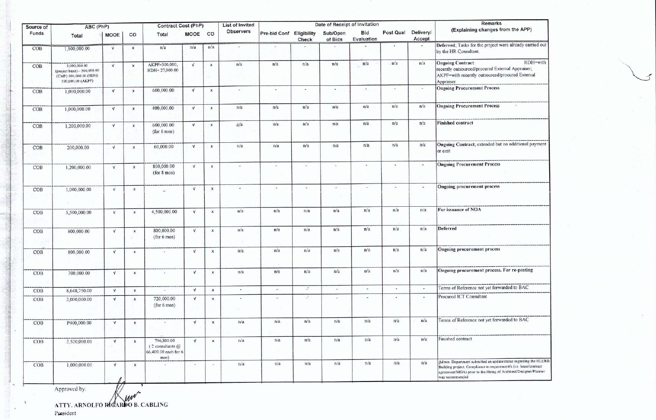| Source of | ABC (PhP)                                                                                   |              |                           | Contract Cost (PhP)                                        |              |                           | List of Invited          |                              |                | Date of Receipt of Invitation | <b>Remarks</b>           |                          |        |                                                                                                                                                                                                                               |  |  |
|-----------|---------------------------------------------------------------------------------------------|--------------|---------------------------|------------------------------------------------------------|--------------|---------------------------|--------------------------|------------------------------|----------------|-------------------------------|--------------------------|--------------------------|--------|-------------------------------------------------------------------------------------------------------------------------------------------------------------------------------------------------------------------------------|--|--|
| Funds     | Total                                                                                       | <b>MOOE</b>  | CO                        | Total                                                      | MOOE CO      |                           | Observers                | Pre-bid Conf Eligibility     | Check          | Sub/Open<br>of Bids           | <b>Bid</b><br>Evaluation | Post Qual Delivery/      | Accept | (Explaining changes from the APP)                                                                                                                                                                                             |  |  |
| COB       | 1,900,000.00                                                                                | $\sqrt{ }$   | $\boldsymbol{\mathsf{x}}$ | n/a                                                        | n/a          | n/a                       | $\overline{\phantom{a}}$ | $\qquad \qquad \blacksquare$ |                | $\overline{\phantom{a}}$      |                          |                          | $\sim$ | Deferred; Tasks for the project were already carried out<br>by the HR Consultant.                                                                                                                                             |  |  |
| COB       | 2,000,000.00<br>(project basis)-- 500,000.00<br>(CMP) 100,000.00 (HDH)<br>500,000.00 (AKPF) | $\sqrt{ }$   | $\boldsymbol{\mathsf{x}}$ | AKPF=300,000;<br>HDH= 27,000.00                            | $\sqrt{ }$   | $\boldsymbol{\mathsf{x}}$ | n/a                      | n/a                          | n/a            | n/a                           | n/a                      | · n/a                    | n/a    | HDH=with<br><b>Ongoing Contract:</b><br>recently outsourced/procured External Appraiser;<br>AKPF=with recently outsourced/procured External<br>Appraiser                                                                      |  |  |
| COB       | 1,000,000.00                                                                                | $\sqrt{ }$   | $\pmb{\times}$            | 600,000.00                                                 | $\sqrt{ }$   | $\boldsymbol{\mathsf{x}}$ | $\sim$                   | ٠                            | ×.             | $\sim$                        | $\bullet$                | $\overline{\phantom{a}}$ | $\sim$ | <b>Ongoing Procurement Process</b>                                                                                                                                                                                            |  |  |
| COB       | 1,000,000.00                                                                                | $\sqrt{ }$   | $\mathbf{x}$              | 400,000.00                                                 | $\sqrt{ }$   | $\times$                  | n/a                      | n/a                          | n/a            | n/a                           | n/a                      | n/a                      | n/a    | <b>Ongoing Procurement Process</b><br>164                                                                                                                                                                                     |  |  |
| COB       | 1,200,000.00                                                                                | $\sqrt{ }$   | $\pmb{\times}$            | 600,000.00<br>(for 6 m 0s)                                 | $\sqrt{ }$   | $\boldsymbol{\mathsf{x}}$ | n/a                      | n/a                          | n/a            | n/a                           | n/a                      | n/a                      | n/a    | <b>Finished contract</b>                                                                                                                                                                                                      |  |  |
| COB       | 200,000.00                                                                                  | $\sqrt{ }$   | $\pmb{\chi}$              | 60,000.00                                                  | $\sqrt{ }$   | $\mathsf{x}$              | n/a                      | n/a                          | n/a            | n/a                           | n/a                      | n/a                      | n/a    | Ongoing Contract; extended but no additional payment<br>or cost                                                                                                                                                               |  |  |
| COB       | 1,200,000.00                                                                                | $\mathbf{v}$ | $\times$                  | 800,000.00<br>(for 8 mos)                                  | $\sqrt{ }$   | $\boldsymbol{\mathsf{x}}$ | $\sim$                   | i.                           | $\blacksquare$ | $\tilde{\phantom{a}}$         | $\sim$                   | $\sim$                   | ÷.     | <b>Ongoing Procurement Process</b>                                                                                                                                                                                            |  |  |
| COB       | 1,000,000.00                                                                                | $\sqrt{ }$   | $\pmb{\times}$            |                                                            | $\sqrt{ }$   | $\mathbf{x}$              | $\sim$                   | i.                           | $\sim$         | $\overline{a}$                | $\overline{\phantom{a}}$ | $\overline{\phantom{a}}$ | $\sim$ | <b>Ongoing procurement process</b>                                                                                                                                                                                            |  |  |
| COB       | 5,500,000.00                                                                                | $\vee$       | $\mathsf{x}$              | 4,500,000.00                                               | $\mathbf{v}$ | $\mathsf{x}$              | n/a                      | n/a                          | n/a            | n/a                           | n/a                      | n/a                      | n/a    | For issuance of NOA                                                                                                                                                                                                           |  |  |
| COB       | 800,000.00                                                                                  | V            | $\pmb{\times}$<br>- 10    | 800,000.00<br>(for 6 m 0s)                                 | $\sqrt{ }$   | x                         | n/a                      | n/a                          | n/a            | n/a                           | n/a                      | n/a                      | n/a    | Deferred                                                                                                                                                                                                                      |  |  |
| COB       | 800,000.00                                                                                  | $\sqrt{ }$   | $\mathbf{x}$              |                                                            | $\sqrt{ }$   | $\mathbf x$               | n/a                      | n/a                          | n/a            | n/a                           | n/a                      | n/a                      | n/a    | Ongoing procurement process                                                                                                                                                                                                   |  |  |
| COB       | 700,000.00                                                                                  | ${\bf V}$    | $\mathsf{x}$              |                                                            | $\sqrt{ }$   | $\mathsf{x}$              | n/a                      | n/a                          | n/a            | n/a                           | n/a                      | n/a                      | n/a    | Ongoing procurement process. For re-posting                                                                                                                                                                                   |  |  |
| COB       | 8,648,750.00                                                                                | $\sqrt{ }$   | $\times$                  | $\bullet$                                                  | $\sqrt{ }$   | $\mathbf x$               | $\overline{\phantom{a}}$ | $\overline{a}$               | $\mathcal{L}$  | $\bullet$                     | $\sim$                   | $\overline{\phantom{a}}$ |        | Terms of Reference not yet forwarded to BAC                                                                                                                                                                                   |  |  |
| COB       | 2,000,000.00                                                                                | $\sqrt{ }$   | $\mathbf{x}$              | 720,000.00<br>(for 6 mos)                                  | $\sqrt{ }$   | $\boldsymbol{\mathsf{x}}$ | $\sim$                   | $\overline{\phantom{a}}$     | $\Delta$       |                               |                          | ٠,                       |        | Procured ICT Consultant                                                                                                                                                                                                       |  |  |
| COB       | P400,000.00                                                                                 | $\sqrt{ }$   | $\mathsf{x}$              |                                                            | $\sqrt{ }$   | $\mathsf X$               | n/a                      | n/a                          | n/a            | n/a                           | n/a                      | n/a                      | n/a    | Terms of Reference not yet forwarded to BAC                                                                                                                                                                                   |  |  |
| COB       | 2,520,000.00                                                                                | $\sqrt{ }$   | $\mathsf{x}$              | 796,800.00<br>$(2$ consultants $@$<br>66,400.00 each for 6 | $\sqrt{ }$   | $\mathsf{x}$              | n/a                      | n/a                          | n/a            | n/a                           | n/a                      | n/a                      | n/a    | Finished contract                                                                                                                                                                                                             |  |  |
| COB       | 1,000,000.00                                                                                | $\sqrt{ }$   | $\mathsf{x}$              | mos)                                                       | $\sim$       | $\sim$                    | n/a                      | n/a                          | n/a            | n/a                           | n/a                      | n/a                      | n/a    | Admin. Department submitted an update/status regarding the HLURB<br>Building project: Compliance to requirement/s (i.e. lease/contract<br>agreement/MOA) prior to the Hiring of Architect/Designer/Planner<br>was recommended |  |  |

ATTY. ARNOLFO RICARDO B. CABLING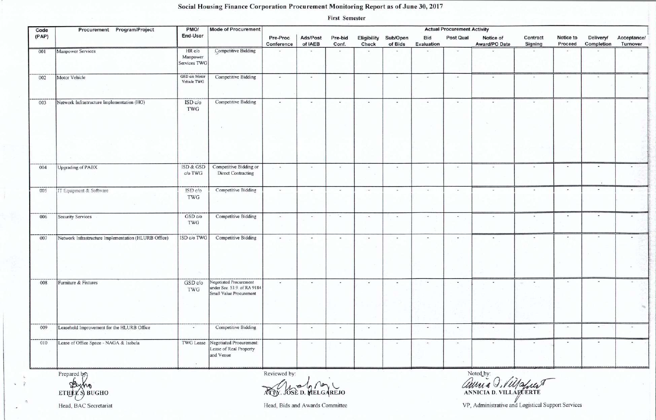## Social Housing Finance Corporation Procurement Monitoring Report as of June 30, 2017

**First Semester** 

| Code  | Procurement Program/Project                          | PMO/                               | <b>Mode of Procurement</b>                                                       | <b>Actual Procurement Activity</b> |                          |                          |                          |                          |                          |                          |                            |                     |                          |                          |                          |  |
|-------|------------------------------------------------------|------------------------------------|----------------------------------------------------------------------------------|------------------------------------|--------------------------|--------------------------|--------------------------|--------------------------|--------------------------|--------------------------|----------------------------|---------------------|--------------------------|--------------------------|--------------------------|--|
| (PAP) |                                                      | End-User                           |                                                                                  | Pre-Proc<br>Conference             | Ads/Post<br>of IAEB      | Pre-bid<br>Conf.         | Eligibility<br>Check     | Sub/Open<br>of Bids      | Bid<br>Evaluation        | Post Qual                | Notice of<br>Award/PO Date | Contract<br>Signing | Notice to<br>Proceed     | Delivery/<br>Completion  | Acceptance/<br>Turnover  |  |
| 001   | Manpower Services                                    | HR c/o<br>Manpower<br>Services TWG | Competitive Bidding                                                              | $\frac{1}{2}$                      | $\omega$                 | $\overline{\phantom{a}}$ | $\overline{\phantom{a}}$ | $\overline{\phantom{a}}$ |                          | $\sim$                   |                            | $\ddot{ }$          | $\overline{\phantom{a}}$ |                          |                          |  |
| 002   | Motor Vehicle                                        | GSD c/o Motor<br>Vehicle TWG       | <b>Competitive Bidding</b>                                                       | $\sim$                             | $\sim$                   | $\omega$                 | <b>.</b>                 | <b>COL</b>               | $\overline{\phantom{a}}$ | $\overline{\phantom{a}}$ | $\overline{\phantom{a}}$   |                     | $\sim$                   | $\frac{1}{2}$            | $\overline{\phantom{a}}$ |  |
| 003   | Network Infrastructure Implementation (HO)           | ISDc/o<br>TWG                      | <b>Competitive Bidding</b>                                                       | $\overline{\phantom{a}}$           | $\omega$                 | $\omega$                 | $\overline{\phantom{a}}$ | $\sim$                   | $\overline{\phantom{a}}$ | $\overline{\phantom{a}}$ | $\overline{\phantom{a}}$   |                     | $\overline{\phantom{a}}$ | $\sim$                   | $\sim$                   |  |
| 004   | <b>Upgrading of PABX</b>                             | ISD & GSD<br>c/o TWG               | Competitive Bidding or<br><b>Direct Contracting</b>                              | $\overline{\phantom{a}}$           | $\overline{\phantom{a}}$ | $\ddot{ }$               | $\bullet$ .              | $\overline{a}$           | $\overline{\phantom{a}}$ | $\bullet$                | $\omega$                   |                     | $\overline{\phantom{a}}$ |                          |                          |  |
| 005   | IT Equipment & Software                              | ISDc/o<br>TWG                      | <b>Competitive Bidding</b>                                                       | $\overline{\phantom{a}}$           | $\sim$                   | $\frac{1}{2}$            | $\overline{\phantom{a}}$ | $\sim$                   | $\overline{\phantom{a}}$ | $\sim$                   | $\overline{\phantom{a}}$   |                     | $\sim$                   |                          | $\overline{\phantom{a}}$ |  |
| 006   | Security Services                                    | GSD c/o<br>TWG                     | <b>Competitive Bidding</b>                                                       | $\sim$                             | $\sim$                   | $\omega$                 | $\bullet$                | $\sim$                   | $\bullet$                | $\sim$                   | $\sim$                     | $\bullet$           | $\sim$                   | $\blacksquare$           | $\overline{\phantom{a}}$ |  |
| 007   | Network Infrastructure Implementation (HLURB Office) | ISD c/o TWG                        | <b>Competitive Bidding</b>                                                       | $\bullet$                          | $\bullet$ .              | $\overline{\phantom{a}}$ | $\sim$                   | $\tilde{\phantom{a}}$    | $\sim$                   | $\sim$                   | $\boldsymbol{\pi}$         |                     | $\bullet$                | $\overline{\phantom{a}}$ |                          |  |
| 008   | Furniture & Fixtures                                 | GSD c/o<br>TWG                     | Negotiated Procurement<br>under Sec. 53.9. of RA 9184<br>Small Value Procurement | $\sim$                             | $\sim$                   | $\alpha$                 | $\sim$                   | $\sim$                   | $\overline{\phantom{a}}$ | $\sim$                   |                            |                     | ÷                        |                          |                          |  |
| 009   | Leasehold Improvement for the HLURB Office           | $\overline{\phantom{a}}$           | Competitive Bidding                                                              | $\sim$                             | $\bullet$                | Φ                        | $\overline{\phantom{a}}$ | $\sim$                   | $\bullet$                | $\sim$                   | $\bullet$                  | $\bullet$           | $\bullet$                |                          | $\sim$                   |  |
| 010   | Lease of Office Space - NAGA & Isabela               | TWG Lease                          | Negotiated Procurement:<br>Lease of Real Property<br>and Venue                   | $\sim$                             | $\sim$                   | $\overline{\phantom{a}}$ | $\sim$                   | $\sim$                   | $\star$                  | $\sim$                   | $\ddot{}$                  |                     | ٠                        |                          |                          |  |

Prepared by Busho **ETHEY** S BUGHO

 $\sim$  1

Reviewed by:

TOV. OSE D. MELGAREJO

Noted by: anni a d. Villaguer

Head, BAC Secretariat

Head, Bids and Awards Committee

VP, Administrative and Logistical Support Services